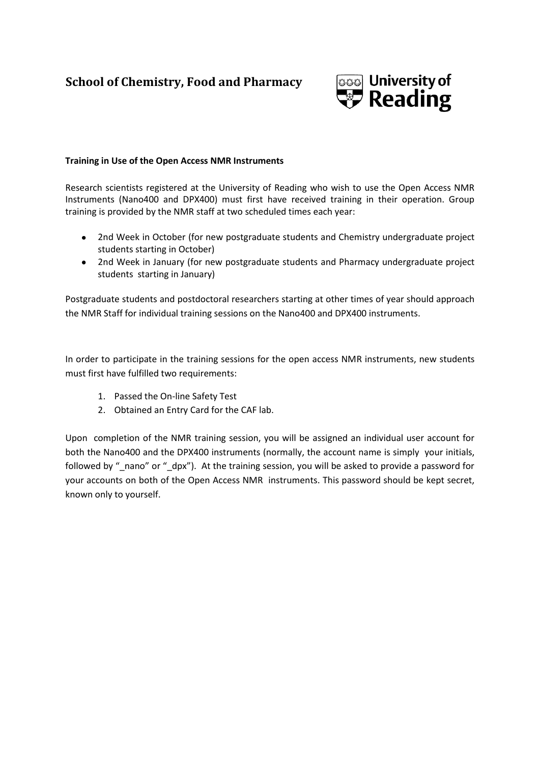## **School of Chemistry, Food and Pharmacy**



## **Training in Use of the Open Access NMR Instruments**

Research scientists registered at the University of Reading who wish to use the Open Access NMR Instruments (Nano400 and DPX400) must first have received training in their operation. Group training is provided by the NMR staff at two scheduled times each year:

- 2nd Week in October (for new postgraduate students and Chemistry undergraduate project students starting in October)
- $\bullet$ 2nd Week in January (for new postgraduate students and Pharmacy undergraduate project students starting in January)

Postgraduate students and postdoctoral researchers starting at other times of year should approach the NMR Staff for individual training sessions on the Nano400 and DPX400 instruments.

In order to participate in the training sessions for the open access NMR instruments, new students must first have fulfilled two requirements:

- 1. Passed the On-line Safety Test
- 2. Obtained an Entry Card for the CAF lab.

Upon completion of the NMR training session, you will be assigned an individual user account for both the Nano400 and the DPX400 instruments (normally, the account name is simply your initials, followed by " nano" or " dpx"). At the training session, you will be asked to provide a password for your accounts on both of the Open Access NMR instruments. This password should be kept secret, known only to yourself.